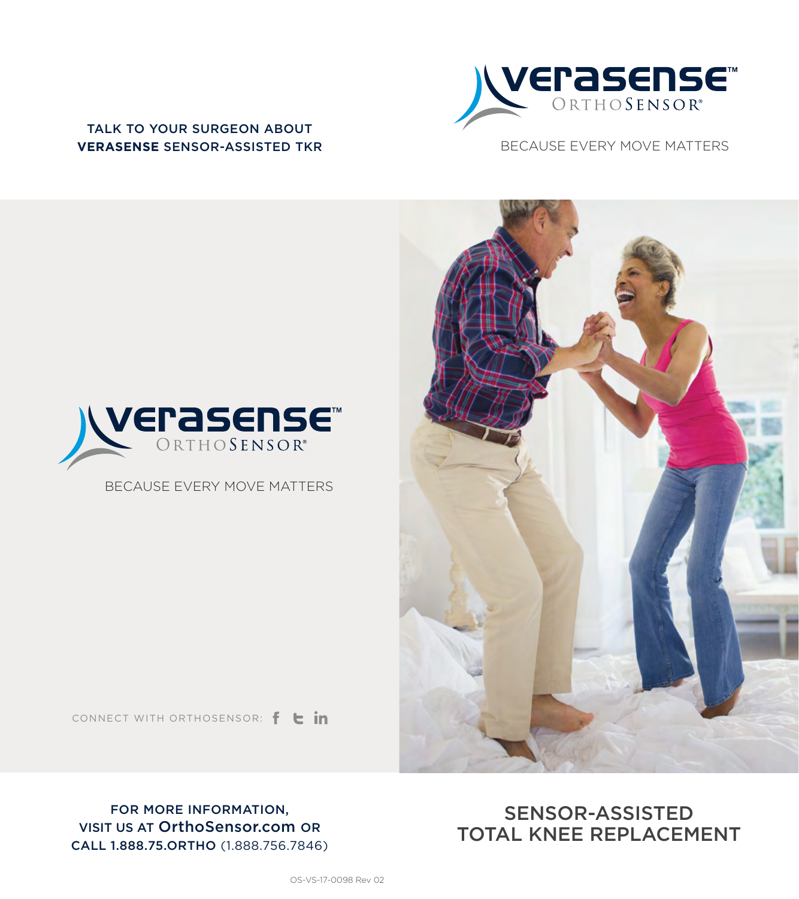

TALK TO YOUR SURGEON ABOUT **VERASENSE** SENSOR-ASSISTED TKR





BECAUSE EVERY MOVE MATTERS



CONNECT WITH ORTHOSENSOR:  $f \rightarrow in$ 

FOR MORE INFORMATION, VISIT US AT OrthoSensor.com OR CALL 1.888.75.ORTHO (1.888.756.7846)

### SENSOR-ASSISTED TOTAL KNEE REPLACEMENT

OS-VS-17-0098 Rev 02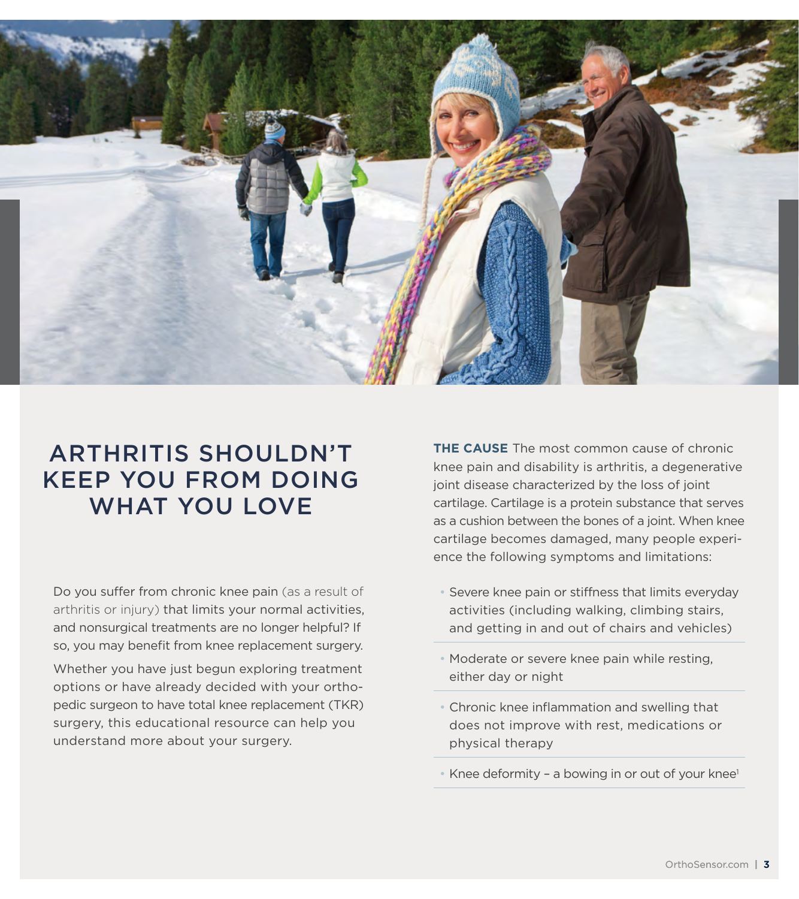

# ARTHRITIS SHOULDN'T KEEP YOU FROM DOING WHAT YOU LOVE

Do you suffer from chronic knee pain (as a result of arthritis or injury) that limits your normal activities, and nonsurgical treatments are no longer helpful? If so, you may benefit from knee replacement surgery.

Whether you have just begun exploring treatment options or have already decided with your orthopedic surgeon to have total knee replacement (TKR) surgery, this educational resource can help you understand more about your surgery.

**THE CAUSE** The most common cause of chronic knee pain and disability is arthritis, a degenerative joint disease characterized by the loss of joint cartilage. Cartilage is a protein substance that serves as a cushion between the bones of a joint. When knee cartilage becomes damaged, many people experience the following symptoms and limitations:

- Severe knee pain or stiffness that limits everyday activities (including walking, climbing stairs, and getting in and out of chairs and vehicles)
- Moderate or severe knee pain while resting, either day or night
- Chronic knee inflammation and swelling that does not improve with rest, medications or physical therapy
- Knee deformity a bowing in or out of your knee<sup>1</sup>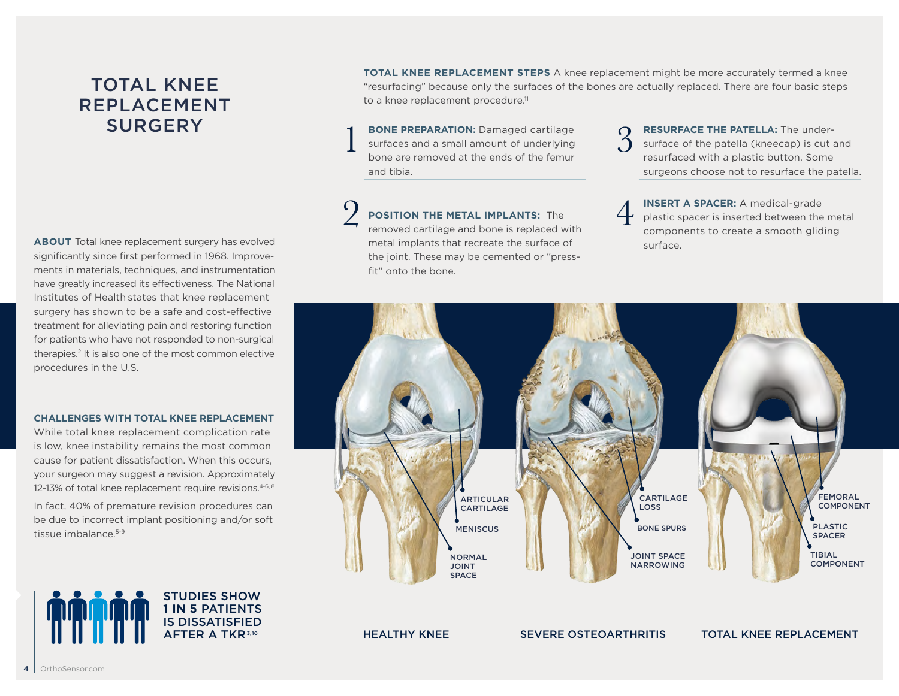# TOTAL KNEE REPLACEMENT **SURGERY**

**ABOUT** Total knee replacement surgery has evolved significantly since first performed in 1968. Improvements in materials, techniques, and instrumentation have greatly increased its effectiveness. The National Institutes of Health states that knee replacement surgery has shown to be a safe and cost-effective treatment for alleviating pain and restoring function for patients who have not responded to non-surgical therapies.2 It is also one of the most common elective procedures in the U.S.

### **CHALLENGES WITH TOTAL KNEE REPLACEMENT**

While total knee replacement complication rate is low, knee instability remains the most common cause for patient dissatisfaction. When this occurs, your surgeon may suggest a revision. Approximately 12-13% of total knee replacement require revisions.<sup>4-6, 8</sup>

In fact, 40% of premature revision procedures can be due to incorrect implant positioning and/or soft tissue imbalance <sup>5-9</sup>

> STUDIES SHOW **1 IN 5** PATIENTS IS DISSATISFIED AFTER A TKR 3,10

**TOTAL KNEE REPLACEMENT STEPS** A knee replacement might be more accurately termed a knee "resurfacing" because only the surfaces of the bones are actually replaced. There are four basic steps to a knee replacement procedure.<sup>11</sup>

**BONE PREPARATION:** Damaged cartilage surfaces and a small amount of underlying bone are removed at the ends of the femur and tibia. 1

**POSITION THE METAL IMPLANTS:** The removed cartilage and bone is replaced with metal implants that recreate the surface of the joint. These may be cemented or "pressfit" onto the bone. 2

**RESURFACE THE PATELLA:** The undersurface of the patella (kneecap) is cut and resurfaced with a plastic button. Some surgeons choose not to resurface the patella. 3

**INSERT A SPACER:** A medical-grade plastic spacer is inserted between the metal components to create a smooth gliding surface. 4

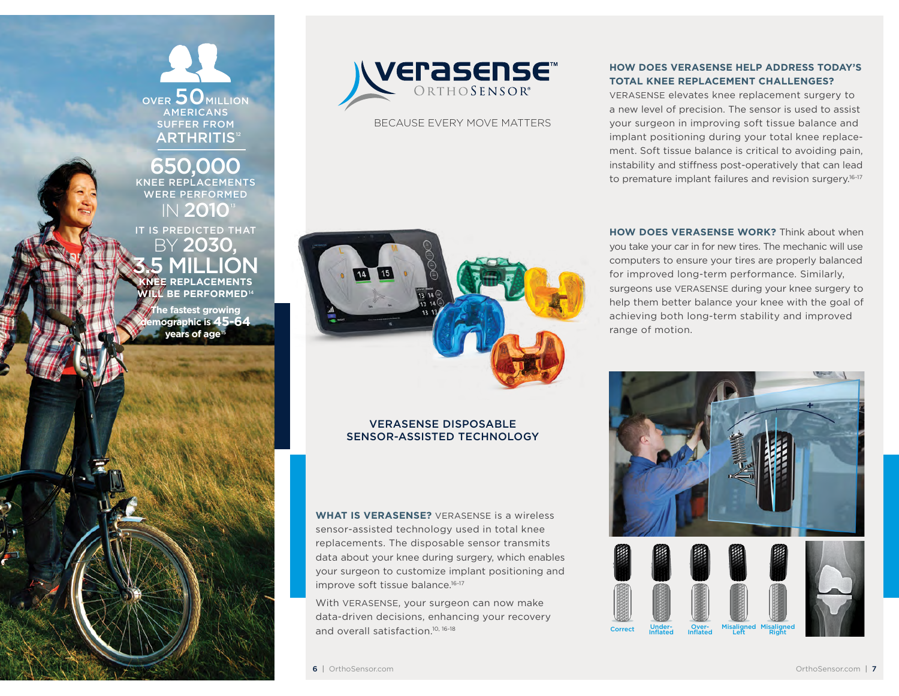OVER 50 MILLION AMERICANS SUFFER FROM **ARTHRITIS<sup>12</sup>** 

650.0 KNEE REPLACEMENTS WERE PERFORMED IN 2010 IT IS PREDICTED THAT

BY 2030, 3.5 MILLION **KNEE REPLACEMENTS BE PERFORMED<sup>14</sup>** 

**The fastest growing demographic is 45-64 years of age** 



BECAUSE EVERY MOVE MATTERS



### VERASENSE DISPOSABLE SENSOR-ASSISTED TECHNOLOGY

**WHAT IS VERASENSE?** VERASENSE is a wireless sensor-assisted technology used in total knee replacements. The disposable sensor transmits data about your knee during surgery, which enables your surgeon to customize implant positioning and improve soft tissue balance.<sup>16-17</sup>

With VERASENSE, your surgeon can now make data-driven decisions, enhancing your recovery and overall satisfaction.10, 16-18

### **HOW DOES VERASENSE HELP ADDRESS TODAY'S TOTAL KNEE REPLACEMENT CHALLENGES?**

VERASENSE elevates knee replacement surgery to a new level of precision. The sensor is used to assist your surgeon in improving soft tissue balance and implant positioning during your total knee replacement. Soft tissue balance is critical to avoiding pain, instability and stiffness post-operatively that can lead to premature implant failures and revision surgery.<sup>16-17</sup>

**HOW DOES VERASENSE WORK?** Think about when you take your car in for new tires. The mechanic will use computers to ensure your tires are properly balanced for improved long-term performance. Similarly, surgeons use VERASENSE during your knee surgery to help them better balance your knee with the goal of achieving both long-term stability and improved range of motion.

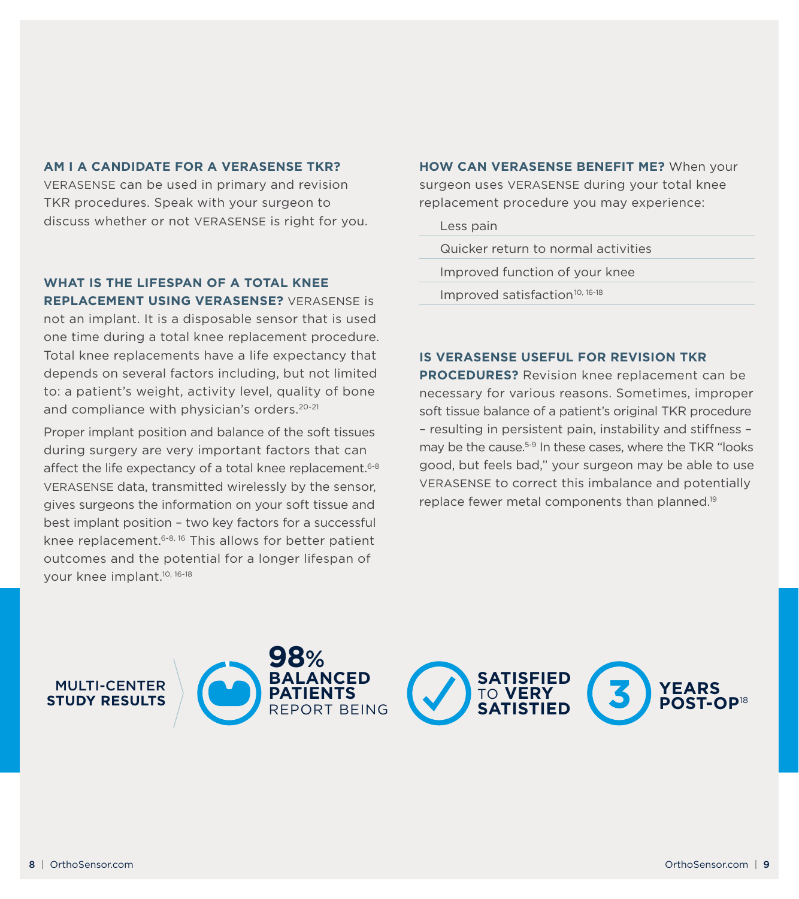#### **AM I A CANDIDATE FOR A VERASENSE TKR?**

VERASENSE can be used in primary and revision TKR procedures. Speak with your surgeon to discuss whether or not VERASENSE is right for you.

**WHAT IS THE LIFESPAN OF A TOTAL KNEE REPLACEMENT USING VERASENSE?** VERASENSE is

not an implant. It is a disposable sensor that is used one time during a total knee replacement procedure. Total knee replacements have a life expectancy that depends on several factors including, but not limited to: a patient's weight, activity level, quality of bone and compliance with physician's orders.<sup>20-21</sup>

Proper implant position and balance of the soft tissues during surgery are very important factors that can affect the life expectancy of a total knee replacement.<sup>6-8</sup> VERASENSE data, transmitted wirelessly by the sensor, gives surgeons the information on your soft tissue and best implant position – two key factors for a successful knee replacement.6-8, 16 This allows for better patient outcomes and the potential for a longer lifespan of your knee implant.10, 16-18

**HOW CAN VERASENSE BENEFIT ME?** When your surgeon uses VERASENSE during your total knee replacement procedure you may experience:

Less pain

Quicker return to normal activities

Improved function of your knee

Improved satisfaction<sup>10, 16-18</sup>

#### **IS VERASENSE USEFUL FOR REVISION TKR**

**PROCEDURES?** Revision knee replacement can be necessary for various reasons. Sometimes, improper soft tissue balance of a patient's original TKR procedure – resulting in persistent pain, instability and stiffness – may be the cause.<sup>5-9</sup> In these cases, where the TKR "looks" good, but feels bad," your surgeon may be able to use VERASENSE to correct this imbalance and potentially replace fewer metal components than planned.19